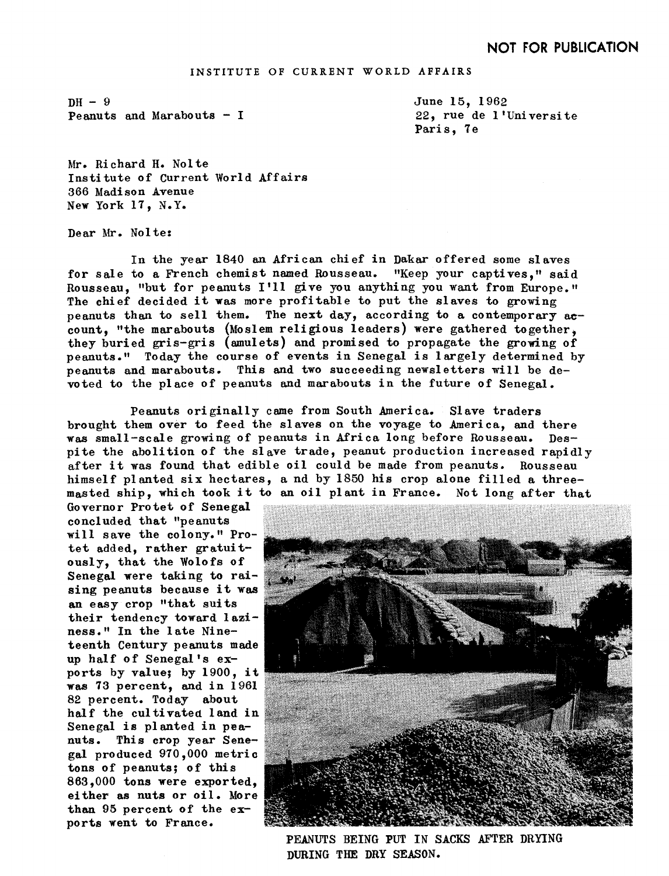## INSTITUTE OF CURRENT WORLD AFFAIRS

 $DH-9$ Peanuts and Marabouts - I June 15. 1962 22, rue de l'Universite Paris, 7e

Mr. Richard H. Nolte Institute of Current World Affairs 366 Madison Avenue New York 17, N.Y.

Dear Mr. Nolte:

In the year 1840 an African chief in Dakar offered some slaves for sale to a French chemist named Rousseau. "Keep your captives," said Rousseau, "but for peanuts I'll give you anything you want from Europe." The chief decided it was more profitable to put the slaves to growing peanuts than to sell them. The next day, according to a contemporary  $ac$ count, "the marabouts (Moslem religious leaders) were gathered together, they buried gris-gris (amulets) and promised to propagate the growing of peanuts." Today the course of events in Senegal is largely determined by peanuts and marabouts. This and two succeeding newsletters will be devoted to the place of peanuts and marabouts in the future of Senegal

Peanuts originally came from South America. Slave traders brought them over to feed the slaves on the voyage to America, and there was small-scale growing of peanuts in Africa long before Rousseau, Despite the abolition of the slave trade, peanut production increased rapidly after it was found that edible oil could be made from peanuts. Rousseau himself planted six hectares, a nd by 1850 his crop alone filled a threemasted ship, which took it to an oil plant in France. Not long after that

Governor Protet of Senegal concluded that "peanuts will save the colony." Protet added, rather gratuitously, that the Wolofs of Senegal were taking to raising peanuts because it was an easy crop "that suits their tendency toward laziness." In the late Nineteenth Century peanuts made up half of Senegal's exports by value; by 1900, it was 73 percent, and in 1961 82 percent, Today about half the cultivatea land in Senegal is planted in peanuts, This crop year Senegal produced 970,000 metric tons of peanuts; of this 863.000 tons were exported. either as nuts or oil. More han 95 percent of the exports went to France



PEANUTS BEING PUT IN SACKS AFTER DRYING DURING THE DRY SEASON.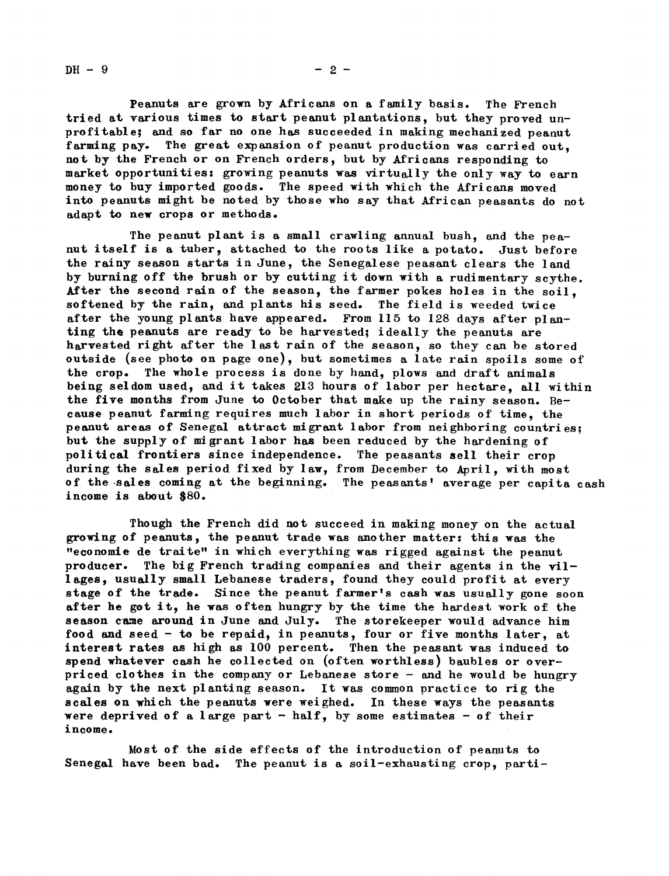$DH - 9$  - 2 -

Peanuts are grown by Africans on a family basis. The French tried at various times to start peanut plantations, but they proved unprofitable; and so far no one has succeeded in making mechanized peanut farming pay. The great expansion of peanut production was carried out. not by the French or on French orders, but by Africans responding to market opportunities: growing peanuts was virtually the only way to earn money to buy imported goods. The speed with which the Africans moved into peanuts might be noted by those who say that African peasants do not adapt to new crops or methods.

The peanut plant is a small crawling annual bush, and the peanut itself is a tuber, attached to the roots like a potato. Just before the rainy season starts in June, the Senegalese peasant clears the land by burning off the brush or by cutting it down with a rudimentary scythe. After the second rain of the season, the farmer pokes holes in the soil, softened by the rain, and plants his seed. The field is weeded twice after the young plants have appeared. From 115 to 128 days after planting the peanuts are ready to be harvested; ideally the peanuts are harvested right after the last rain of the season, so they can be stored outside (see photo on page one) but sometimes a late rain spoils some of the crop. The whole process is done by hand, plows and draft animals being seldom used, and it takes 213 hours of labor per hectare, all within the five months from June to October that make up the rainy season.  $Be$ cause peanut farming requires much labor in short periods of time, the peanut areas of Senegal attract migrant labor from neighboring countries; but the supply of migrant labor has been reduced by the hardening of political frontiers since independence. The peasants ell their crop during the sales period fixed by law, from December to April, with most of the-sales coming at the beginning. The peasants' average per capita cash income is about \$80.

Though the French did not succeed in making money on the actual growing of peanuts, the peanut trade was another matter: this was the "economie de traite" in which everything was rigged against the peanut producer. The big French trading companies and their agents in the villages, usually small Lebanese traders, found they could profit at every stage of the trade. Since the peanut farmer's cash was usually gone soon after he got it, he was often hungry by the time the hardest work of the season came around in June and July. The storekeeper would advance him food and seed - to be repaid, in peanuts, four or five months later, at interest rates as high as 100 percent. Then the peasant was induced to spend whatever cash he collected on (often worthless) baubles or overpriced clothes in the company or Lebanese store - and he would be hungry again by the next planting season. It was common practice to rig the scales on which the peanuts were weighed. In these ways the peasants were deprived of a large part  $-$  half, by some estimates  $-$  of their income.

Most of the side effects of the introduction of peanuts to Senegal have been bad. The peanut is a soil-exhausting crop, parti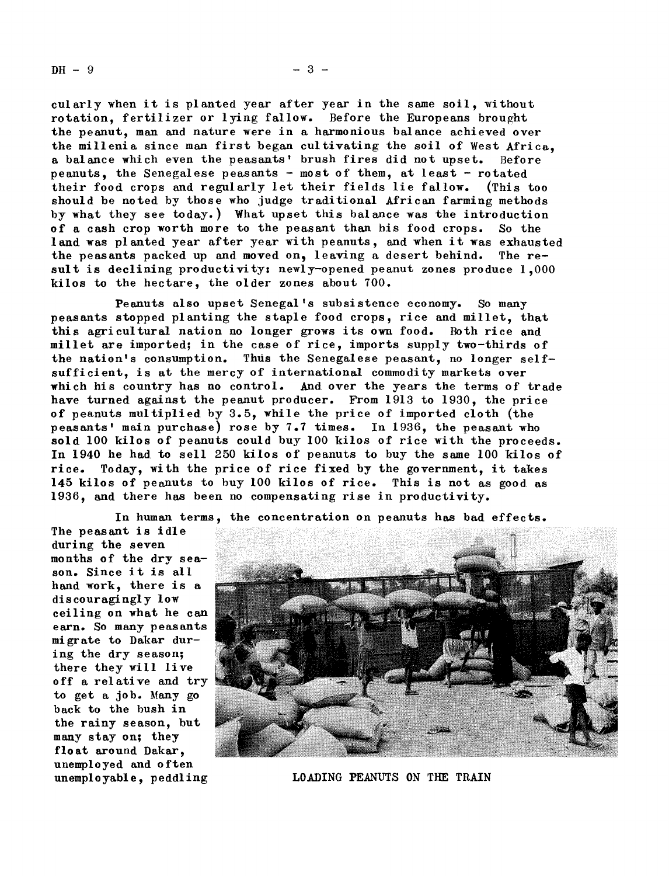$DH - 9$  -3 -

cularly when it is planted year after year in the same soil, without rotation, fertilizer or lying fallow. Before the Europeans brought the peanut, man and nature were in a harmonious balance achieved over the millenia since man first began cultivating the soil of West Africa a balance which even the peasants' brush fires did not upset. Before peanuts, the Senegalese peasants - most of them, at least - rotated their food crops and regularly let their fields lie fallow, (This too should, be noted by those who judge traditional African farming methods by what they see today.) What upset this balance was the introduction of a cash crop worth more to the peasant than his food crops. So the land was planted year after year with peanuts, and when it was exhausted the peasants packed up and moved on, leaving a desert behind. The result is declining productivity: newly-opened peanut zones produce  $1,000$ kilos to the hectare, the older zones about 700.

Peanuts also upset Senegal's subsistence economy. So many peasants stopped planting the staple food crops, rice and millet, that this agricultural nation no longer grows its own food. Both rice and millet are imported; in the case of rice, imports supply two-thirds of the nation's consumption. Thus the Senegalese peasant, no longer selfsufficient, is at the mercy of international commodity markets over which his country has no control. And over the years the terms of trade have turned against the peanut producer. From 1913 to 1930, the price of peanuts multiplied by  $3.5$ , while the price of imported cloth (the peasants' main purchase) rose by 7.7 times. In 1936, the peasant who sold 100 kilos of peanuts could buy 100 kilos of rice with the proceeds. In 1940 he had to sell 250 kilos of peanuts to buy the same 100 kilos of rice. Today, with the price of rice fixed by the government, it takes 145 kilos of peanuts to buy 100 kilos of rice. This is not as good, as 1936, and there has been no compensating rise in productivity.

In human terms, the concentration on peanuts has bad effects.

The peasant is idle during the seven months of the dry season. Since it is all hand work, there is a dis cour agi ngl y <sup>1</sup> ow ceiling on what he can earn. So many peasants migrate to Dakar during the dry season; there they will live off a relative and try to get a job. Many go back to the bush in the rainy season, but many stay on; they float around Dakar. unemployed and o ften



unemployable, peddling LOADING PEANUTS ON THE TRAIN